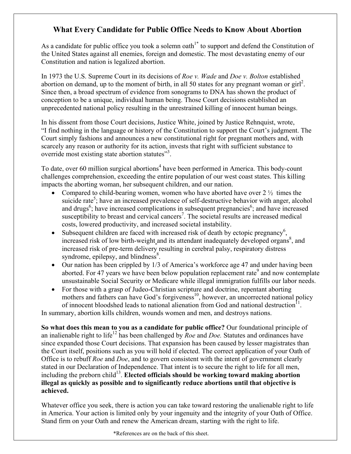## **What Every Candidate for Public Office Needs to Know About Abortion**

As a candidate for public office you took a solemn oath<sup> $1*$ </sup> to support and defend the Constitution of the United States against all enemies, foreign and domestic. The most devastating enemy of our Constitution and nation is legalized abortion.

In 1973 the U.S. Supreme Court in its decisions of *Roe v. Wade* and *Doe v. Bolton* established abortion on demand, up to the moment of birth, in all 50 states for any pregnant woman or  $\text{girl}^2$ . Since then, a broad spectrum of evidence from sonograms to DNA has shown the product of conception to be a unique, individual human being. Those Court decisions established an unprecedented national policy resulting in the unrestrained killing of innocent human beings.

In his dissent from those Court decisions, Justice White, joined by Justice Rehnquist, wrote, "I find nothing in the language or history of the Constitution to support the Court's judgment. The Court simply fashions and announces a new constitutional right for pregnant mothers and, with scarcely any reason or authority for its action, invests that right with sufficient substance to override most existing state abortion statutes"<sup>3</sup>.

To date, over 60 million surgical abortions<sup>4</sup> have been performed in America. This body-count challenges comprehension, exceeding the entire population of our west coast states. This killing impacts the aborting woman, her subsequent children, and our nation.

- Compared to child-bearing women, women who have aborted have over  $2\frac{1}{2}$  times the suicide rate<sup>5</sup>; have an increased prevalence of self-destructive behavior with anger, alcohol and drugs<sup>6</sup>; have increased complications in subsequent pregnancies<sup>6</sup>; and have increased susceptibility to breast and cervical cancers<sup>7</sup>. The societal results are increased medical costs, lowered productivity, and increased societal instability.
- Subsequent children are faced with increased risk of death by ectopic pregnancy<sup>6</sup>, increased risk of low birth-weight and its attendant inadequately developed organs $\delta$ , and increased risk of pre-term delivery resulting in cerebral palsy, respiratory distress syndrome, epilepsy, and blindness $\mathrm{8}$ .
- Our nation has been crippled by 1/3 of America's workforce age 47 and under having been aborted. For 47 years we have been below population replacement rate<sup>9</sup> and now contemplate unsustainable Social Security or Medicare while illegal immigration fulfills our labor needs.
- For those with a grasp of Judeo-Christian scripture and doctrine, repentant aborting mothers and fathers can have God's forgiveness<sup>10</sup>, however, an uncorrected national policy of innocent bloodshed leads to national alienation from God and national destruction<sup>11</sup>.

In summary, abortion kills children, wounds women and men, and destroys nations.

**So what does this mean to you as a candidate for public office?** Our foundational principle of an inalienable right to life<sup>12</sup> has been challenged by *Roe* and *Doe*. Statutes and ordinances have since expanded those Court decisions. That expansion has been caused by lesser magistrates than the Court itself, positions such as you will hold if elected. The correct application of your Oath of Office is to rebuff *Roe* and *Doe*, and to govern consistent with the intent of government clearly stated in our Declaration of Independence. That intent is to secure the right to life for all men, including the preborn child<sup>13</sup>. Elected officials should be working toward making abortion **illegal as quickly as possible and to significantly reduce abortions until that objective is achieved.**

Whatever office you seek, there is action you can take toward restoring the unalienable right to life in America. Your action is limited only by your ingenuity and the integrity of your Oath of Office. Stand firm on your Oath and renew the American dream, starting with the right to life.